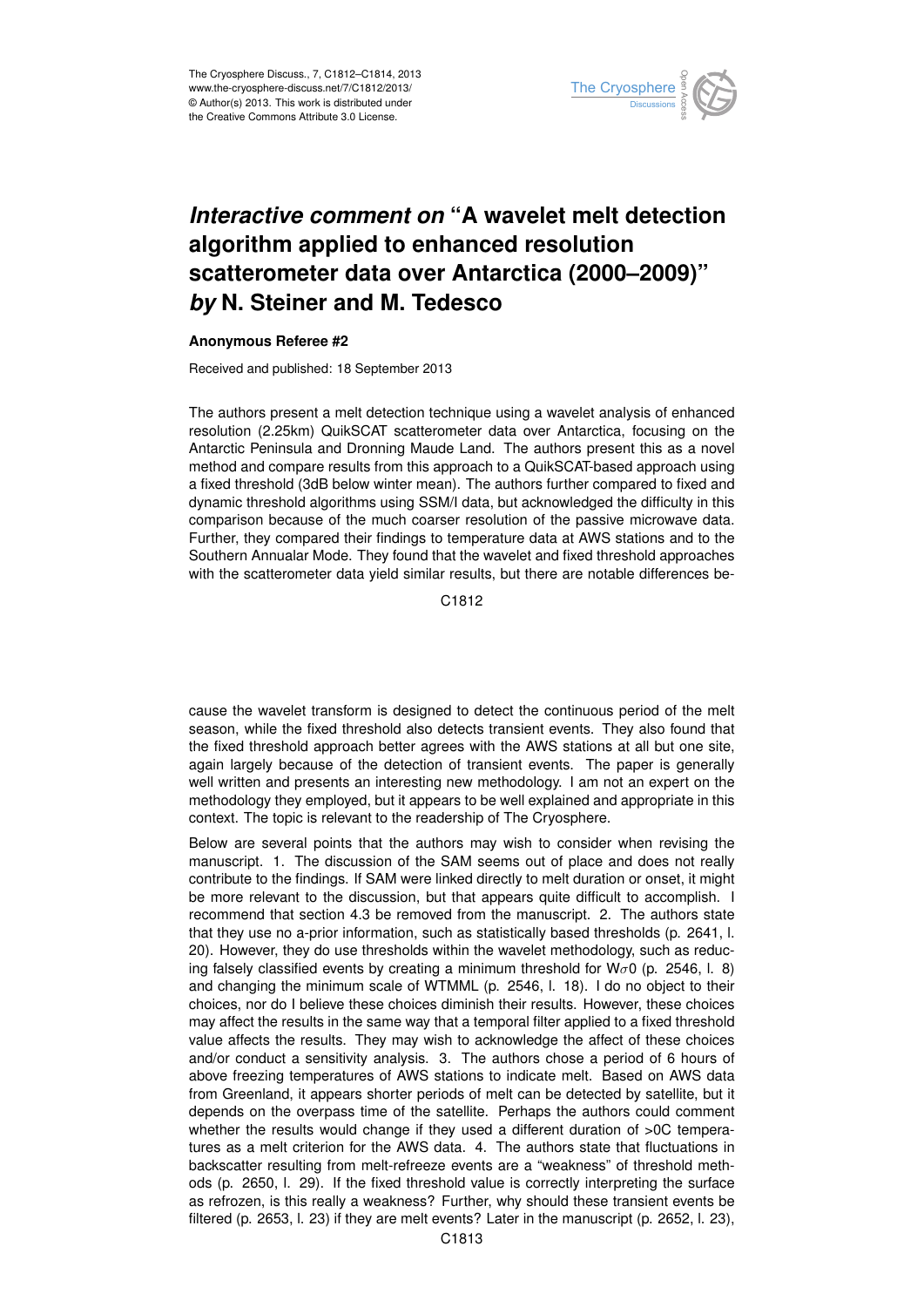

## *Interactive comment on* **"A wavelet melt detection algorithm applied to enhanced resolution scatterometer data over Antarctica (2000–2009)"** *by* **N. Steiner and M. Tedesco**

## **Anonymous Referee #2**

Received and published: 18 September 2013

The authors present a melt detection technique using a wavelet analysis of enhanced resolution (2.25km) QuikSCAT scatterometer data over Antarctica, focusing on the Antarctic Peninsula and Dronning Maude Land. The authors present this as a novel method and compare results from this approach to a QuikSCAT-based approach using a fixed threshold (3dB below winter mean). The authors further compared to fixed and dynamic threshold algorithms using SSM/I data, but acknowledged the difficulty in this comparison because of the much coarser resolution of the passive microwave data. Further, they compared their findings to temperature data at AWS stations and to the Southern Annualar Mode. They found that the wavelet and fixed threshold approaches with the scatterometer data yield similar results, but there are notable differences be-

C1812

cause the wavelet transform is designed to detect the continuous period of the melt season, while the fixed threshold also detects transient events. They also found that the fixed threshold approach better agrees with the AWS stations at all but one site, again largely because of the detection of transient events. The paper is generally well written and presents an interesting new methodology. I am not an expert on the methodology they employed, but it appears to be well explained and appropriate in this context. The topic is relevant to the readership of The Cryosphere.

Below are several points that the authors may wish to consider when revising the manuscript. 1. The discussion of the SAM seems out of place and does not really contribute to the findings. If SAM were linked directly to melt duration or onset, it might be more relevant to the discussion, but that appears quite difficult to accomplish. I recommend that section 4.3 be removed from the manuscript. 2. The authors state that they use no a-prior information, such as statistically based thresholds (p. 2641, l. 20). However, they do use thresholds within the wavelet methodology, such as reducing falsely classified events by creating a minimum threshold for W $\sigma$ 0 (p. 2546, l. 8) and changing the minimum scale of WTMML (p. 2546, l. 18). I do no object to their choices, nor do I believe these choices diminish their results. However, these choices may affect the results in the same way that a temporal filter applied to a fixed threshold value affects the results. They may wish to acknowledge the affect of these choices and/or conduct a sensitivity analysis. 3. The authors chose a period of 6 hours of above freezing temperatures of AWS stations to indicate melt. Based on AWS data from Greenland, it appears shorter periods of melt can be detected by satellite, but it depends on the overpass time of the satellite. Perhaps the authors could comment whether the results would change if they used a different duration of >0C temperatures as a melt criterion for the AWS data. 4. The authors state that fluctuations in backscatter resulting from melt-refreeze events are a "weakness" of threshold methods (p. 2650, l. 29). If the fixed threshold value is correctly interpreting the surface as refrozen, is this really a weakness? Further, why should these transient events be filtered (p. 2653, l. 23) if they are melt events? Later in the manuscript (p. 2652, l. 23),